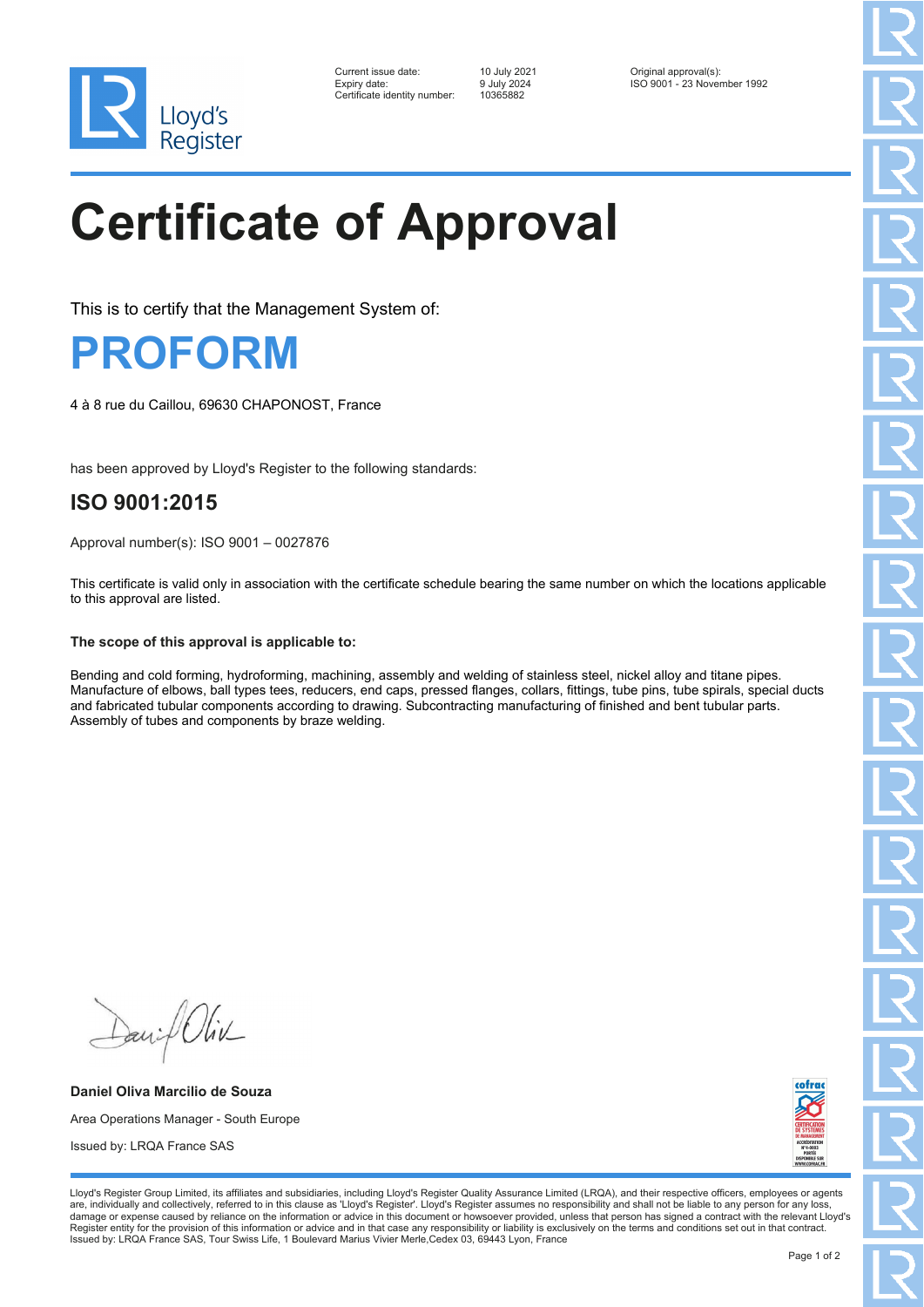

| Current issue date:         |
|-----------------------------|
| Expiry date:                |
| Certificate identity number |

Certificate identity number: 10365882

Current issue date: 10 July 2021 Original approval(s): Expiry date: 9 July 2024 ISO 9001 - 23 November 1992

# **Certificate of Approval**

This is to certify that the Management System of:

### **PROFORM**

4 à 8 rue du Caillou, 69630 CHAPONOST, France

has been approved by Lloyd's Register to the following standards:

### **ISO 9001:2015**

Approval number(s): ISO 9001 – 0027876

This certificate is valid only in association with the certificate schedule bearing the same number on which the locations applicable to this approval are listed.

### **The scope of this approval is applicable to:**

Bending and cold forming, hydroforming, machining, assembly and welding of stainless steel, nickel alloy and titane pipes. Manufacture of elbows, ball types tees, reducers, end caps, pressed flanges, collars, fittings, tube pins, tube spirals, special ducts and fabricated tubular components according to drawing. Subcontracting manufacturing of finished and bent tubular parts. Assembly of tubes and components by braze welding.

David Oliv

**Daniel Oliva Marcilio de Souza** Area Operations Manager - South Europe Issued by: LRQA France SAS



Lloyd's Register Group Limited, its affiliates and subsidiaries, including Lloyd's Register Quality Assurance Limited (LRQA), and their respective officers, employees or agents are, individually and collectively, referred to in this clause as 'Lloyd's Register'. Lloyd's Register assumes no responsibility and shall not be liable to any person for any loss,<br>damage or expense caused by reliance on t Register entity for the provision of this information or advice and in that case any responsibility or liability is exclusively on the terms and conditions set out in that contract. Issued by: LRQA France SAS, Tour Swiss Life, 1 Boulevard Marius Vivier Merle,Cedex 03, 69443 Lyon, France